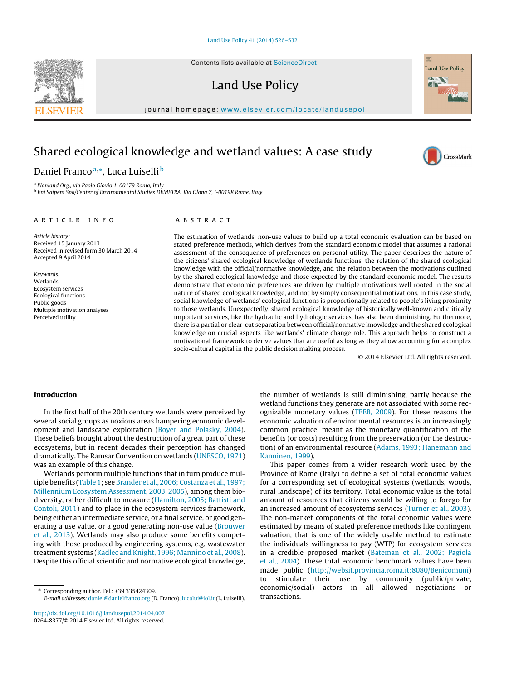Contents lists available at [ScienceDirect](http://www.sciencedirect.com/science/journal/02648377)

Land Use Policy



iournal homepage: [www.elsevier.com/locate/landusepol](http://www.elsevier.com/locate/landusepol)

# Shared ecological knowledge and wetland values: A case study

Daniel Franco<sup>a,∗</sup>, Luca Luiselli<sup>b</sup>

<sup>a</sup> Planland Org., via Paolo Giovio 1, 00179 Roma, Italy <sup>b</sup> Eni Saipem Spa/Center of Environmental Studies DEMETRA, Via Olona 7, I-00198 Rome, Italy

# a r t i c l e i n f o

Article history: Received 15 January 2013 Received in revised form 30 March 2014 Accepted 9 April 2014

Keywords: Wetlands Ecosystem services Ecological functions Public goods Multiple motivation analyses Perceived utility

# A B S T R A C T

The estimation of wetlands' non-use values to build up a total economic evaluation can be based on stated preference methods, which derives from the standard economic model that assumes a rational assessment of the consequence of preferences on personal utility. The paper describes the nature of the citizens' shared ecological knowledge of wetlands functions, the relation of the shared ecological knowledge with the official/normative knowledge, and the relation between the motivations outlined by the shared ecological knowledge and those expected by the standard economic model. The results demonstrate that economic preferences are driven by multiple motivations well rooted in the social nature of shared ecological knowledge, and not by simply consequential motivations. In this case study, social knowledge of wetlands' ecological functions is proportionally related to people's living proximity to those wetlands. Unexpectedly, shared ecological knowledge of historically well-known and critically important services, like the hydraulic and hydrologic services, has also been diminishing. Furthermore, there is a partial or clear-cut separation between official/normative knowledge and the shared ecological knowledge on crucial aspects like wetlands' climate change role. This approach helps to construct a motivational framework to derive values that are useful as long as they allow accounting for a complex socio-cultural capital in the public decision making process.

© 2014 Elsevier Ltd. All rights reserved.

# **Introduction**

In the first half of the 20th century wetlands were perceived by several social groups as noxious areas hampering economic development and landscape exploitation ([Boyer](#page-5-0) [and](#page-5-0) [Polasky,](#page-5-0) [2004\).](#page-5-0) These beliefs brought about the destruction of a great part of these ecosystems, but in recent decades their perception has changed dramatically. The Ramsar Convention on wetlands ([UNESCO,](#page-6-0) [1971\)](#page-6-0) was an example of this change.

Wetlands perform multiple functions that in turn produce mul-tiple benefits [\(Table](#page-1-0) 1; see [Brander](#page-5-0) et [al.,](#page-5-0) 2006; Costanza et al., [1997;](#page-5-0) [Millennium](#page-5-0) [Ecosystem](#page-5-0) [Assessment,](#page-5-0) [2003,](#page-5-0) [2005\),](#page-5-0) among them biodiversity, rather difficult to measure [\(Hamilton,](#page-5-0) [2005;](#page-5-0) [Battisti](#page-5-0) [and](#page-5-0) [Contoli,](#page-5-0) [2011\)](#page-5-0) and to place in the ecosystem services framework, being either an intermediate service, or a final service, or good generating a use value, or a good generating non-use value ([Brouwer](#page-5-0) et [al.,](#page-5-0) [2013\).](#page-5-0) Wetlands may also produce some benefits competing with those produced by engineering systems, e.g. wastewater treatment systems [\(Kadlec](#page-5-0) [and](#page-5-0) [Knight,](#page-5-0) [1996;](#page-5-0) [Mannino](#page-5-0) et [al.,](#page-5-0) [2008\).](#page-5-0) Despite this official scientific and normative ecological knowledge,

[http://dx.doi.org/10.1016/j.landusepol.2014.04.007](dx.doi.org/10.1016/j.landusepol.2014.04.007) 0264-8377/© 2014 Elsevier Ltd. All rights reserved.

the number of wetlands is still diminishing, partly because the wetland functions they generate are not associated with some recognizable monetary values [\(TEEB,](#page-6-0) [2009\).](#page-6-0) For these reasons the economic valuation of environmental resources is an increasingly common practice, meant as the monetary quantification of the benefits (or costs) resulting from the preservation (or the destruction) of an environmental resource [\(Adams,](#page-5-0) [1993;](#page-5-0) [Hanemann](#page-5-0) [and](#page-5-0) [Kanninen,](#page-5-0) [1999\).](#page-5-0)

This paper comes from a wider research work used by the Province of Rome (Italy) to define a set of total economic values for a corresponding set of ecological systems (wetlands, woods, rural landscape) of its territory. Total economic value is the total amount of resources that citizens would be willing to forego for an increased amount of ecosystems services [\(Turner](#page-6-0) et [al.,](#page-6-0) [2003\).](#page-6-0) The non-market components of the total economic values were estimated by means of stated preference methods like contingent valuation, that is one of the widely usable method to estimate the individuals willingness to pay (WTP) for ecosystem services in a credible proposed market [\(Bateman](#page-5-0) et [al.,](#page-5-0) [2002;](#page-5-0) [Pagiola](#page-5-0) et [al.,](#page-5-0) [2004\).](#page-5-0) These total economic benchmark values have been made public [\(http://websit.provincia.roma.it:8080/Benicomuni\)](http://websit.provincia.roma.it:8080/Benicomuni) to stimulate their use by community (public/private, economic/social) actors in all allowed negotiations or transactions.





<sup>∗</sup> Corresponding author. Tel.: +39 335424309. E-mail addresses: [daniel@danielfranco.org](mailto:daniel@danielfranco.org) (D. Franco), [lucalui@iol.it](mailto:lucalui@iol.it) (L. Luiselli).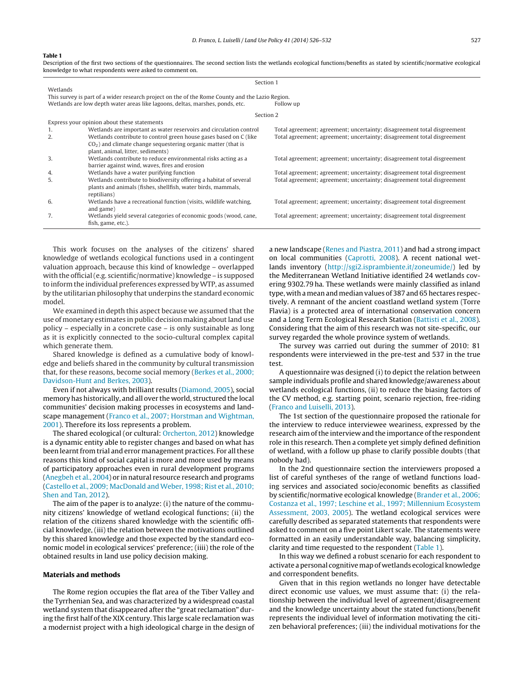#### <span id="page-1-0"></span>**Table 1**

Description of the first two sections of the questionnaires. The second section lists the wetlands ecological functions/benefits as stated by scientific/normative ecological knowledge to what respondents were asked to comment on.

| Section 1 |                                                                                                 |                                                                         |  |  |  |  |  |  |
|-----------|-------------------------------------------------------------------------------------------------|-------------------------------------------------------------------------|--|--|--|--|--|--|
| Wetlands  |                                                                                                 |                                                                         |  |  |  |  |  |  |
|           | This survey is part of a wider research project on the of the Rome County and the Lazio Region. |                                                                         |  |  |  |  |  |  |
|           | Wetlands are low depth water areas like lagoons, deltas, marshes, ponds, etc.                   | Follow up                                                               |  |  |  |  |  |  |
|           | Section 2                                                                                       |                                                                         |  |  |  |  |  |  |
|           | Express your opinion about these statements                                                     |                                                                         |  |  |  |  |  |  |
| 1.        | Wetlands are important as water reservoirs and circulation control                              | Total agreement; agreement; uncertainty; disagreement total disgreement |  |  |  |  |  |  |
| 2.        | Wetlands contribute to control green house gases based on C (like                               | Total agreement; agreement; uncertainty; disagreement total disgreement |  |  |  |  |  |  |
|           | $CO2$ ) and climate change sequestering organic matter (that is                                 |                                                                         |  |  |  |  |  |  |
|           | plant, animal, litter, sediments)                                                               |                                                                         |  |  |  |  |  |  |
| 3.        | Wetlands contribute to reduce environmental risks acting as a                                   | Total agreement; agreement; uncertainty; disagreement total disgreement |  |  |  |  |  |  |
|           | barrier against wind, waves, fires and erosion                                                  |                                                                         |  |  |  |  |  |  |
| 4.        | Wetlands have a water purifying function                                                        | Total agreement; agreement; uncertainty; disagreement total disgreement |  |  |  |  |  |  |
| 5.        | Wetlands contribute to biodiversity offering a habitat of several                               | Total agreement; agreement; uncertainty; disagreement total disgreement |  |  |  |  |  |  |
|           | plants and animals (fishes, shellfish, water birds, mammals,                                    |                                                                         |  |  |  |  |  |  |
|           | reptilians)                                                                                     |                                                                         |  |  |  |  |  |  |
| 6.        | Wetlands have a recreational function (visits, wildlife watching,                               | Total agreement; agreement; uncertainty; disagreement total disgreement |  |  |  |  |  |  |
|           | and game)                                                                                       |                                                                         |  |  |  |  |  |  |
| 7.        | Wetlands yield several categories of economic goods (wood, cane,                                | Total agreement; agreement; uncertainty; disagreement total disgreement |  |  |  |  |  |  |
|           | fish, game, etc.).                                                                              |                                                                         |  |  |  |  |  |  |

This work focuses on the analyses of the citizens' shared knowledge of wetlands ecological functions used in a contingent valuation approach, because this kind of knowledge – overlapped with the official(e.g. scientific/normative) knowledge – is supposed to inform the individual preferences expressed byWTP, as assumed by the utilitarian philosophy that underpins the standard economic model.

We examined in depth this aspect because we assumed that the use of monetary estimates in public decision making about land use policy – especially in a concrete case – is only sustainable as long as it is explicitly connected to the socio-cultural complex capital which generate them.

Shared knowledge is defined as a cumulative body of knowledge and beliefs shared in the community by cultural transmission that, for these reasons, become social memory ([Berkes](#page-5-0) et [al.,](#page-5-0) [2000;](#page-5-0) [Davidson-Hunt](#page-5-0) [and](#page-5-0) [Berkes,](#page-5-0) [2003\).](#page-5-0)

Even if not always with brilliant results ([Diamond,](#page-5-0) [2005\),](#page-5-0) social memory has historically, and all over the world, structured the local communities' decision making processes in ecosystems and landscape management [\(Franco](#page-5-0) et [al.,](#page-5-0) [2007;](#page-5-0) [Horstman](#page-5-0) [and](#page-5-0) [Wightman,](#page-5-0) [2001\).](#page-5-0) Therefore its loss represents a problem.

The shared ecological (or cultural: [Orcherton,](#page-6-0) [2012\)](#page-6-0) knowledge is a dynamic entity able to register changes and based on what has been learnt from trial and error management practices. For all these reasons this kind of social capital is more and more used by means of participatory approaches even in rural development programs ([Anegbeh](#page-5-0) et [al.,](#page-5-0) [2004\)](#page-5-0) or in natural resource research and programs ([Castello](#page-5-0) et [al.,](#page-5-0) [2009;](#page-5-0) [MacDonald](#page-5-0) [and](#page-5-0) [Weber,](#page-5-0) [1998;](#page-5-0) [Rist](#page-5-0) et [al.,](#page-5-0) [2010;](#page-5-0) [Shen](#page-5-0) [and](#page-5-0) [Tan,](#page-5-0) [2012\).](#page-5-0)

The aim of the paper is to analyze: (i) the nature of the community citizens' knowledge of wetland ecological functions; (ii) the relation of the citizens shared knowledge with the scientific official knowledge, (iii) the relation between the motivations outlined by this shared knowledge and those expected by the standard economic model in ecological services' preference; (iiii) the role of the obtained results in land use policy decision making.

## **Materials and methods**

The Rome region occupies the flat area of the Tiber Valley and the Tyrrhenian Sea, and was characterized by a widespread coastal wetland system that disappeared after the "great reclamation" during the first half of the XIX century. This large scale reclamation was a modernist project with a high ideological charge in the design of a new landscape [\(Renes](#page-6-0) [and](#page-6-0) [Piastra,](#page-6-0) [2011\)](#page-6-0) and had a strong impact on local communities [\(Caprotti,](#page-5-0) [2008\).](#page-5-0) A recent national wetlands inventory ([http://sgi2.isprambiente.it/zoneumide/\)](http://sgi2.isprambiente.it/zoneumide/) led by the Mediterranean Wetland Initiative identified 24 wetlands covering 9302.79 ha. These wetlands were mainly classified as inland type, with a mean and median values of 387 and 65 hectares respectively. A remnant of the ancient coastland wetland system (Torre Flavia) is a protected area of international conservation concern and a Long Term Ecological Research Station ([Battisti](#page-5-0) et [al.,](#page-5-0) [2008\).](#page-5-0) Considering that the aim of this research was not site-specific, our survey regarded the whole province system of wetlands.

The survey was carried out during the summer of 2010: 81 respondents were interviewed in the pre-test and 537 in the true test.

A questionnaire was designed (i) to depict the relation between sample individuals profile and shared knowledge/awareness about wetlands ecological functions, (ii) to reduce the biasing factors of the CV method, e.g. starting point, scenario rejection, free-riding [\(Franco](#page-5-0) [and](#page-5-0) [Luiselli,](#page-5-0) [2013\).](#page-5-0)

The 1st section of the questionnaire proposed the rationale for the interview to reduce interviewee weariness, expressed by the research aim of the interview and the importance of the respondent role in this research. Then a complete yet simply defined definition of wetland, with a follow up phase to clarify possible doubts (that nobody had).

In the 2nd questionnaire section the interviewers proposed a list of careful syntheses of the range of wetland functions loading services and associated socio/economic benefits as classified by scientific/normative ecological knowledge [\(Brander](#page-5-0) et [al.,](#page-5-0) [2006;](#page-5-0) [Costanza](#page-5-0) et [al.,](#page-5-0) [1997;](#page-5-0) [Leschine](#page-5-0) et [al.,](#page-5-0) [1997;](#page-5-0) [Millennium](#page-5-0) [Ecosystem](#page-5-0) [Assessment,](#page-5-0) [2003,](#page-5-0) [2005\).](#page-5-0) The wetland ecological services were carefully described as separated statements that respondents were asked to comment on a five point Likert scale. The statements were formatted in an easily understandable way, balancing simplicity, clarity and time requested to the respondent (Table 1).

In this way we defined a robust scenario for each respondent to activate apersonal cognitivemapof wetlands ecological knowledge and correspondent benefits.

Given that in this region wetlands no longer have detectable direct economic use values, we must assume that: (i) the relationship between the individual level of agreement/disagreement and the knowledge uncertainty about the stated functions/benefit represents the individual level of information motivating the citizen behavioral preferences; (iii) the individual motivations for the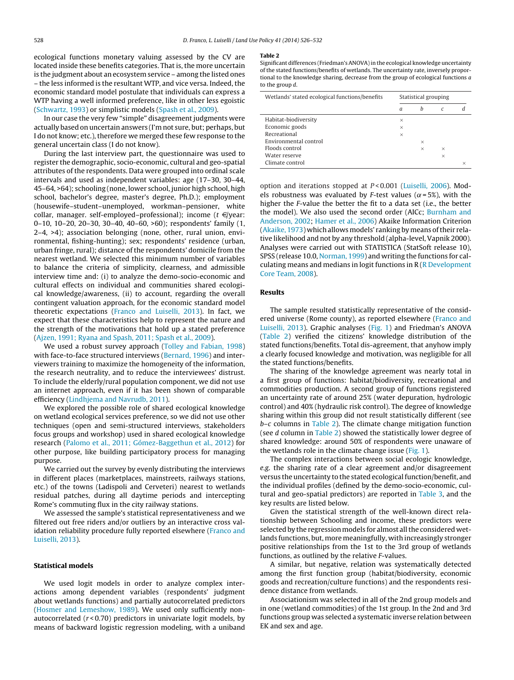ecological functions monetary valuing assessed by the CV are located inside these benefits categories. That is, the more uncertain is the judgment about an ecosystem service – among the listed ones – the less informed is the resultant WTP, and vice versa. Indeed, the economic standard model postulate that individuals can express a WTP having a well informed preference, like in other less egoistic ([Schwartz,](#page-6-0) [1993\)](#page-6-0) or simplistic models ([Spash](#page-6-0) et [al.,](#page-6-0) [2009\).](#page-6-0)

In our case the very few "simple" disagreement judgments were actually based on uncertain answers (I'm not sure, but; perhaps, but I do not know; etc.), therefore we merged these few response to the general uncertain class (I do not know).

During the last interview part, the questionnaire was used to register the demographic, socio-economic, cultural and geo-spatial attributes of the respondents. Data were grouped into ordinal scale intervals and used as independent variables: age (17–30, 30–44, 45–64, >64); schooling (none, lower school, junior high school, high school, bachelor's degree, master's degree, Ph.D.); employment (housewife–student–unemployed, workman–pensioner, white collar, manager. self-employed–professional); income  $(t \in \{$ year: 0–10, 10–20, 20–30, 30–40, 40–60, >60); respondents' family (1, 2–4, >4); association belonging (none, other, rural union, environmental, fishing-hunting); sex; respondents' residence (urban, urban fringe, rural); distance of the respondents' domicile from the nearest wetland. We selected this minimum number of variables to balance the criteria of simplicity, clearness, and admissible interview time and: (i) to analyze the demo-socio-economic and cultural effects on individual and communities shared ecological knowledge/awareness, (ii) to account, regarding the overall contingent valuation approach, for the economic standard model theoretic expectations [\(Franco](#page-5-0) [and](#page-5-0) [Luiselli,](#page-5-0) [2013\).](#page-5-0) In fact, we expect that these characteristics help to represent the nature and the strength of the motivations that hold up a stated preference ([Ajzen,](#page-5-0) [1991;](#page-5-0) [Ryana](#page-5-0) [and](#page-5-0) [Spash,](#page-5-0) [2011;](#page-5-0) [Spash](#page-5-0) et [al.,](#page-5-0) [2009\).](#page-5-0)

We used a robust survey approach [\(Tolley](#page-6-0) [and](#page-6-0) [Fabian,](#page-6-0) [1998\)](#page-6-0) with face-to-face structured interviews ([Bernard,](#page-5-0) [1996\)](#page-5-0) and interviewers training to maximize the homogeneity of the information, the research neutrality, and to reduce the interviewees' distrust. To include the elderly/rural population component, we did not use an internet approach, even if it has been shown of comparable efficiency ([Lindhjema](#page-5-0) [and](#page-5-0) [Navrudb,](#page-5-0) [2011\).](#page-5-0)

We explored the possible role of shared ecological knowledge on wetland ecological services preference, so we did not use other techniques (open and semi-structured interviews, stakeholders focus groups and workshop) used in shared ecological knowledge research [\(Palomo](#page-6-0) et [al.,](#page-6-0) [2011;](#page-6-0) [Gómez-Baggethun](#page-6-0) et [al.,](#page-6-0) [2012\)](#page-6-0) for other purpose, like building participatory process for managing purpose.

We carried out the survey by evenly distributing the interviews in different places (marketplaces, mainstreets, railways stations, etc.) of the towns (Ladispoli and Cerveteri) nearest to wetlands residual patches, during all daytime periods and intercepting Rome's commuting flux in the city railway stations.

We assessed the sample's statistical representativeness and we filtered out free riders and/or outliers by an interactive cross val-idation reliability procedure fully reported elsewhere [\(Franco](#page-5-0) [and](#page-5-0) [Luiselli,](#page-5-0) [2013\).](#page-5-0)

## **Statistical models**

We used logit models in order to analyze complex interactions among dependent variables (respondents' judgment about wetlands functions) and partially autocorrelated predictors ([Hosmer](#page-5-0) [and](#page-5-0) [Lemeshow,](#page-5-0) [1989\).](#page-5-0) We used only sufficiently nonautocorrelated  $(r < 0.70)$  predictors in univariate logit models, by means of backward logistic regression modeling, with a uniband

#### **Table 2**

Significant differences (Friedman's ANOVA) in the ecological knowledge uncertainty of the stated functions/benefits of wetlands. The uncertainty rate, inversely proportional to the knowledge sharing, decrease from the group of ecological functions  $a$ to the group d.

| Wetlands' stated ecological functions/benefits | Statistical grouping |          |          |          |  |
|------------------------------------------------|----------------------|----------|----------|----------|--|
|                                                | a                    | h        | C        |          |  |
| Habitat-biodiversity                           | $\times$             |          |          |          |  |
| Economic goods                                 | $\times$             |          |          |          |  |
| Recreational                                   | $\times$             |          |          |          |  |
| Environmental control                          |                      | $\times$ |          |          |  |
| Floods control                                 |                      | $\times$ | $\times$ |          |  |
| Water reserve                                  |                      |          | ×        |          |  |
| Climate control                                |                      |          |          | $\times$ |  |

option and iterations stopped at P < 0.001 [\(Luiselli,](#page-5-0) [2006\).](#page-5-0) Models robustness was evaluated by F-test values ( $\alpha$ =5%), with the higher the F-value the better the fit to a data set (i.e., the better the model). We also used the second order (AICc; [Burnham](#page-5-0) [and](#page-5-0) [Anderson,](#page-5-0) [2002;](#page-5-0) [Hamer](#page-5-0) et [al.,](#page-5-0) [2006\)](#page-5-0) Akaike Information Criterion [\(Akaike,](#page-5-0) [1973\)](#page-5-0) which allows models' ranking by means oftheir relative likelihood and not by any threshold (alpha-level, Vapnik 2000). Analyses were carried out with STATISTICA (StatSoft release 10), SPSS (release 10.0, [Norman,](#page-6-0) [1999\)](#page-6-0) and writing the functions for calculating means and medians in logit functions in  $R$  ( $R$  [Development](#page-6-0) [Core](#page-6-0) [Team,](#page-6-0) [2008\).](#page-6-0)

#### **Results**

The sample resulted statistically representative of the considered universe (Rome county), as reported elsewhere [\(Franco](#page-5-0) [and](#page-5-0) [Luiselli,](#page-5-0) [2013\).](#page-5-0) Graphic analyses ([Fig.](#page-3-0) 1) and Friedman's ANOVA (Table 2) verified the citizens' knowledge distribution of the stated functions/benefits. Total dis-agreement, that anyhow imply a clearly focused knowledge and motivation, was negligible for all the stated functions/benefits.

The sharing of the knowledge agreement was nearly total in a first group of functions: habitat/biodiversity, recreational and commodities production. A second group of functions registered an uncertainty rate of around 25% (water depuration, hydrologic control) and 40% (hydraulic risk control). The degree of knowledge sharing within this group did not result statistically different (see b–c columns in Table 2). The climate change mitigation function (see d column in Table 2) showed the statistically lower degree of shared knowledge: around 50% of respondents were unaware of the wetlands role in the climate change issue [\(Fig.](#page-3-0) 1).

The complex interactions between social ecologic knowledge, e.g. the sharing rate of a clear agreement and/or disagreement versus the uncertainty to the stated ecological function/benefit, and the individual profiles (defined by the demo-socio-economic, cultural and geo-spatial predictors) are reported in [Table](#page-3-0) 3, and the key results are listed below.

Given the statistical strength of the well-known direct relationship between Schooling and income, these predictors were selected by the regression models for almost all the considered wetlands functions, but, more meaningfully, with increasingly stronger positive relationships from the 1st to the 3rd group of wetlands functions, as outlined by the relative F-values.

A similar, but negative, relation was systematically detected among the first function group (habitat/biodiversity, economic goods and recreation/culture functions) and the respondents residence distance from wetlands.

Associationism was selected in all of the 2nd group models and in one (wetland commodities) of the 1st group. In the 2nd and 3rd functions group was selected a systematic inverse relation between EK and sex and age.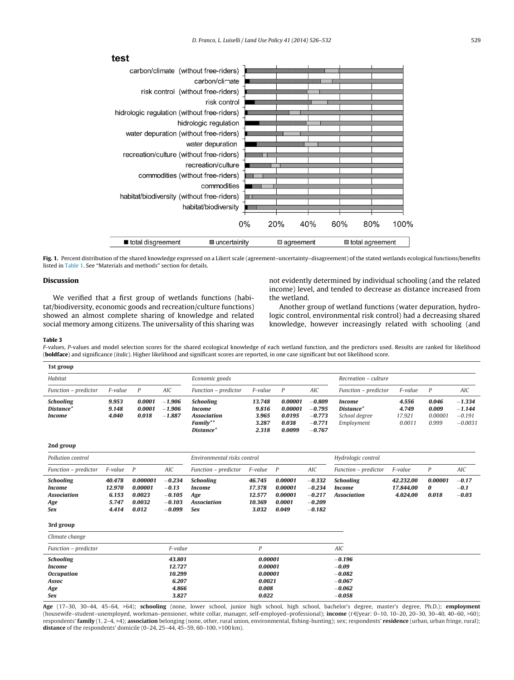<span id="page-3-0"></span>

Fig. 1. Percent distribution of the shared knowledge expressed on a Likert scale (agreement-uncertainty-disagreement) of the stated wetlands ecological functions/benefits listed in [Table](#page-1-0) 1. See "Materials and methods" section for details.

# **Discussion**

We verified that a first group of wetlands functions (habitat/biodiversity, economic goods and recreation/culture functions) showed an almost complete sharing of knowledge and related social memory among citizens. The universality of this sharing was not evidently determined by individual schooling (and the related income) level, and tended to decrease as distance increased from the wetland.

Another group of wetland functions (water depuration, hydrologic control, environmental risk control) had a decreasing shared knowledge, however increasingly related with schooling (and

#### **Table 3**

F-values, P-values and model selection scores for the shared ecological knowledge of each wetland function, and the predictors used. Results are ranked for likelihood (**boldface**) and significance (italic). Higher likelihood and significant scores are reported, in one case significant but not likelihood score.

| 1st group                                                  |                         |                           |                                  |                                                                                              |                                            |                                                 |                                                          |                                                                       |                                    |                                    |                                               |
|------------------------------------------------------------|-------------------------|---------------------------|----------------------------------|----------------------------------------------------------------------------------------------|--------------------------------------------|-------------------------------------------------|----------------------------------------------------------|-----------------------------------------------------------------------|------------------------------------|------------------------------------|-----------------------------------------------|
| Habitat                                                    |                         |                           | Economic goods                   |                                                                                              |                                            |                                                 | Recreation - culture                                     |                                                                       |                                    |                                    |                                               |
| Function - predictor                                       | F-value                 | P                         | AIC                              | Function - predictor                                                                         | F-value                                    | $\overline{P}$                                  | AIC                                                      | Function - predictor                                                  | F-value                            | P                                  | AIC                                           |
| <b>Schooling</b><br>Distance <sup>*</sup><br><i>Income</i> | 9.953<br>9.148<br>4.040 | 0.0001<br>0.0001<br>0.018 | $-1.906$<br>$-1.906$<br>$-1.887$ | <b>Schooling</b><br><i>Income</i><br><b>Association</b><br>Family**<br>Distance <sup>*</sup> | 13.748<br>9.816<br>3.965<br>3.287<br>2.318 | 0.00001<br>0.00001<br>0.0195<br>0.038<br>0.0099 | $-0.809$<br>$-0.795$<br>$-0.773$<br>$-0.771$<br>$-0.767$ | <i>Income</i><br>Distance <sup>*</sup><br>School degree<br>Employment | 4.556<br>4.749<br>17.921<br>0.0011 | 0.046<br>0.009<br>0.00001<br>0.999 | $-1.334$<br>$-1.144$<br>$-0.191$<br>$-0.0031$ |

**2nd group**

| Pollution control                                                     |                                             |                                                  |                                                         | Environmental risks control                                                  |                                               |                                                  | Hydrologic control                                       |                                                  |                                    |                       |                              |
|-----------------------------------------------------------------------|---------------------------------------------|--------------------------------------------------|---------------------------------------------------------|------------------------------------------------------------------------------|-----------------------------------------------|--------------------------------------------------|----------------------------------------------------------|--------------------------------------------------|------------------------------------|-----------------------|------------------------------|
| Function – predictor                                                  | F-value                                     | - P                                              | AIC                                                     | Function – predictor                                                         | F-value P                                     |                                                  | AIC                                                      | Function – predictor                             | F-value                            | P                     | <b>AIC</b>                   |
| <b>Schooling</b><br>Income<br><b>Association</b><br>Age<br><b>Sex</b> | 40.478<br>12.970<br>6.153<br>5.747<br>4.414 | 0.000001<br>0.00001<br>0.0023<br>0.0032<br>0.012 | $-0.234$<br>$-0.13$<br>$-0.105$<br>$-0.103$<br>$-0.099$ | <b>Schooling</b><br><i>Income</i><br>Age<br><b>Association</b><br><b>Sex</b> | 46.745<br>17.378<br>12.577<br>10.369<br>3.032 | 0.00001<br>0.00001<br>0.00001<br>0.0001<br>0.049 | $-0.332$<br>$-0.234$<br>$-0.217$<br>$-0.209$<br>$-0.182$ | Schooling<br><i>Income</i><br><b>Association</b> | 42.232.00<br>17.844.00<br>4.024.00 | 0.00001<br>0<br>0.018 | $-0.17$<br>$-0.1$<br>$-0.03$ |

#### **3rd group**

| Climate change       |         |         |            |  |
|----------------------|---------|---------|------------|--|
| Function - predictor | F-value |         | <b>AIC</b> |  |
| <b>Schooling</b>     | 43.801  | 0.00001 | $-0.196$   |  |
| <b>Income</b>        | 12.727  | 0.00001 | $-0.09$    |  |
| <b>Occupation</b>    | 10.299  | 0.00001 | $-0.082$   |  |
| Assoc                | 6.207   | 0.0021  | $-0.067$   |  |
| Age                  | 4.866   | 0.008   | $-0.062$   |  |
| <b>Sex</b>           | 3.827   | 0.022   | $-0.058$   |  |

**Age** (17–30, 30–44, 45–64, >64); **schooling** (none, lower school, junior high school, high school, bachelor's degree, master's degree, Ph.D.); **employment** (housewife–student–unemployed, workman–pensioner, white collar, manager, self-employed–professional); income (t€/year: 0-10, 10-20, 20-30, 30-40, 40-60, >60); respondents' **family** (1, 2–4, >4); **association** belonging (none, other, rural union, environmental, fishing-hunting); sex; respondents' **residence** (urban, urban fringe, rural); **distance** of the respondents' domicile (0–24, 25–44, 45–59, 60–100, >100 km).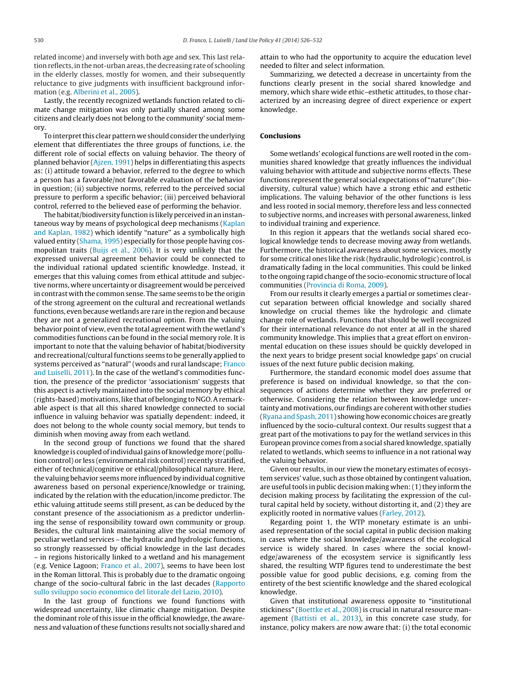related income) and inversely with both age and sex. This last relation reflects, in the not-urban areas, the decreasing rate of schooling in the elderly classes, mostly for women, and their subsequently reluctance to give judgments with insufficient background information (e.g. [Alberini](#page-5-0) et [al.,](#page-5-0) [2005\).](#page-5-0)

Lastly, the recently recognized wetlands function related to climate change mitigation was only partially shared among some citizens and clearly does not belong to the community' social memory.

To interpret this clear pattern we should consider the underlying element that differentiates the three groups of functions, i.e. the different role of social effects on valuing behavior. The theory of planned behavior ([Ajzen,](#page-5-0) [1991\)](#page-5-0) helps in differentiating this aspects as: (i) attitude toward a behavior, referred to the degree to which a person has a favorable/not favorable evaluation of the behavior in question; (ii) subjective norms, referred to the perceived social pressure to perform a specific behavior; (iii) perceived behavioral control, referred to the believed ease of performing the behavior.

The habitat/biodiversity function is likely perceived in an instantaneous way by means of psychological deep mechanisms [\(Kaplan](#page-5-0) [and](#page-5-0) [Kaplan,](#page-5-0) [1982\)](#page-5-0) which identify "nature" as a symbolically high valued entity [\(Shama,](#page-6-0) [1995\)](#page-6-0) especially for those people having cosmopolitan traits ([Buijs](#page-5-0) et [al.,](#page-5-0) [2006\).](#page-5-0) It is very unlikely that the expressed universal agreement behavior could be connected to the individual rational updated scientific knowledge. Instead, it emerges that this valuing comes from ethical attitude and subjective norms, where uncertainty or disagreement would be perceived in contrast with the common sense. The same seems to be the origin of the strong agreement on the cultural and recreational wetlands functions, even because wetlands are rare in the region and because they are not a generalized recreational option. From the valuing behavior point of view, even the total agreement with the wetland's commodities functions can be found in the social memory role. It is important to note that the valuing behavior of habitat/biodiversity and recreational/cultural functions seems to be generally applied to systems perceived as "natural" (woods and rural landscape; [Franco](#page-5-0) [and](#page-5-0) [Luiselli,](#page-5-0) [2011\).](#page-5-0) In the case of the wetland's commodities function, the presence of the predictor 'associationism' suggests that this aspect is actively maintained into the social memory by ethical (rights-based) motivations, like that of belonging to NGO. A remarkable aspect is that all this shared knowledge connected to social influence in valuing behavior was spatially dependent: indeed, it does not belong to the whole county social memory, but tends to diminish when moving away from each wetland.

In the second group of functions we found that the shared knowledge is coupled of individual gains of knowledge more (pollution control) or less (environmental risk control) recently stratified, either of technical/cognitive or ethical/philosophical nature. Here, the valuing behavior seems more influenced by individual cognitive awareness based on personal experience/knowledge or training, indicated by the relation with the education/income predictor. The ethic valuing attitude seems still present, as can be deduced by the constant presence of the associationism as a predictor underlining the sense of responsibility toward own community or group. Besides, the cultural link maintaining alive the social memory of peculiar wetland services – the hydraulic and hydrologic functions, so strongly reassessed by official knowledge in the last decades – in regions historically linked to a wetland and his management (e.g. Venice Lagoon; [Franco](#page-5-0) et [al.,](#page-5-0) [2007\),](#page-5-0) seems to have been lost in the Roman littoral. This is probably due to the dramatic ongoing change of the socio-cultural fabric in the last decades [\(Rapporto](#page-6-0) [sullo](#page-6-0) [sviluppo](#page-6-0) [socio](#page-6-0) [economico](#page-6-0) [del](#page-6-0) [litorale](#page-6-0) [del](#page-6-0) [Lazio,](#page-6-0) [2010\).](#page-6-0)

In the last group of functions we found functions with widespread uncertainty, like climatic change mitigation. Despite the dominant role of this issue in the official knowledge, the awareness and valuation ofthese functions results not socially shared and

attain to who had the opportunity to acquire the education level needed to filter and select information.

Summarizing, we detected a decrease in uncertainty from the functions clearly present in the social shared knowledge and memory, which share wide ethic–esthetic attitudes, to those characterized by an increasing degree of direct experience or expert knowledge.

# **Conclusions**

Some wetlands' ecological functions are well rooted in the communities shared knowledge that greatly influences the individual valuing behavior with attitude and subjective norms effects. These functions represent the general social expectations of "nature" (biodiversity, cultural value) which have a strong ethic and esthetic implications. The valuing behavior of the other functions is less and less rooted in social memory, therefore less and less connected to subjective norms, and increases with personal awareness, linked to individual training and experience.

In this region it appears that the wetlands social shared ecological knowledge tends to decrease moving away from wetlands. Furthermore, the historical awareness about some services, mostly for some critical ones like the risk (hydraulic, hydrologic) control, is dramatically fading in the local communities. This could be linked to the ongoing rapid change of the socio-economic structure of local communities ([Provincia](#page-6-0) [di](#page-6-0) [Roma,](#page-6-0) [2009\).](#page-6-0)

From our results it clearly emerges a partial or sometimes clearcut separation between official knowledge and socially shared knowledge on crucial themes like the hydrologic and climate change role of wetlands. Functions that should be well recognized for their international relevance do not enter at all in the shared community knowledge. This implies that a great effort on environmental education on these issues should be quickly developed in the next years to bridge present social knowledge gaps' on crucial issues of the next future public decision making.

Furthermore, the standard economic model does assume that preference is based on individual knowledge, so that the consequences of actions determine whether they are preferred or otherwise. Considering the relation between knowledge uncertainty and motivations, our findings are coherent with other studies [\(Ryana](#page-6-0) [and](#page-6-0) [Spash,](#page-6-0) [2011\)](#page-6-0) showing how economic choices are greatly influenced by the socio-cultural context. Our results suggest that a great part of the motivations to pay for the wetland services in this European province comes from a social shared knowledge, spatially related to wetlands, which seems to influence in a not rational way the valuing behavior.

Given our results, in our view the monetary estimates of ecosystem services' value, such as those obtained by contingent valuation, are useful tools in public decision making when: (1) they inform the decision making process by facilitating the expression of the cultural capital held by society, without distorting it, and (2) they are explicitly rooted in normative values ([Farley,](#page-5-0) [2012\).](#page-5-0)

Regarding point 1, the WTP monetary estimate is an unbiased representation of the social capital in public decision making in cases where the social knowledge/awareness of the ecological service is widely shared. In cases where the social knowledge/awareness of the ecosystem service is significantly less shared, the resulting WTP figures tend to underestimate the best possible value for good public decisions, e.g. coming from the entirety of the best scientific knowledge and the shared ecological knowledge.

Given that institutional awareness opposite to "institutional stickiness" ([Boettke](#page-5-0) et [al.,](#page-5-0) [2008\)](#page-5-0) is crucial in natural resource management ([Battisti](#page-5-0) et [al.,](#page-5-0) [2013\),](#page-5-0) in this concrete case study, for instance, policy makers are now aware that: (i) the total economic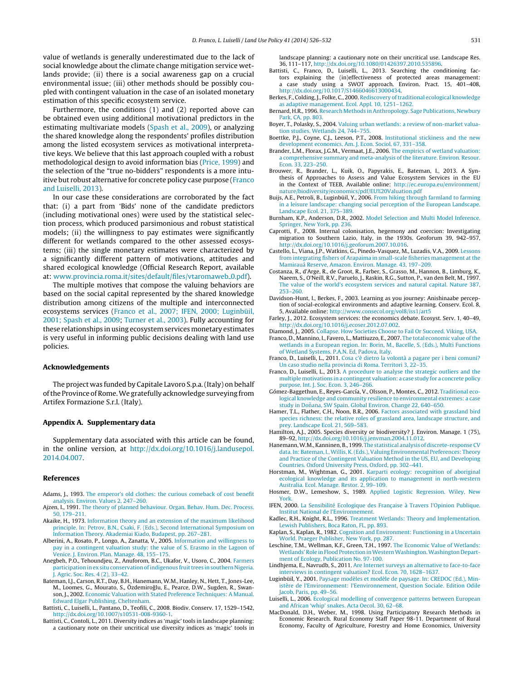<span id="page-5-0"></span>value of wetlands is generally underestimated due to the lack of social knowledge about the climate change mitigation service wetlands provide; (ii) there is a social awareness gap on a crucial environmental issue; (iii) other methods should be possibly coupled with contingent valuation in the case of an isolated monetary estimation of this specific ecosystem service.

Furthermore, the conditions (1) and (2) reported above can be obtained even using additional motivational predictors in the estimating multivariate models [\(Spash](#page-6-0) et [al.,](#page-6-0) [2009\),](#page-6-0) or analyzing the shared knowledge along the respondents' profiles distribution among the listed ecosystem services as motivational interpretative keys. We believe that this last approach coupled with a robust methodological design to avoid information bias ([Price,](#page-6-0) [1999\)](#page-6-0) and the selection of the "true no-bidders" respondents is a more intuitive but robust alternative for concrete policy case purpose (Franco and Luiselli, 2013).

In our case these considerations are corroborated by the fact that: (i) a part from 'Bids' none of the candidate predictors (including motivational ones) were used by the statistical selection process, which produced parsimonious and robust statistical models; (ii) the willingness to pay estimates were significantly different for wetlands compared to the other assessed ecosystems; (iii) the single monetary estimates were characterized by a significantly different pattern of motivations, attitudes and shared ecological knowledge (Official Research Report, available at: [www.provincia.roma.it/sites/default/files/vtaromaweb](http://www.provincia.roma.it/sites/default/files/vtaromaweb_0.pdf) 0.pdf).

The multiple motives that compose the valuing behaviors are based on the social capital represented by the shared knowledge distribution among citizens of the multiple and interconnected ecosystems services (Franco et al., 2007; IFEN, 2000; Luginbüil, 2001; Spash et al., 2009; [Turner](#page-6-0) et [al.,](#page-6-0) [2003\).](#page-6-0) Fully accounting for these relationships in using ecosystem services monetary estimates is very useful in informing public decisions dealing with land use policies.

## **Acknowledgements**

The project was funded by Capitale Lavoro S.p.a.(Italy) on behalf of the Province of Rome. We gratefully acknowledge surveying from Artifex Formazione S.r.l. (Italy).

# **Appendix A. Supplementary data**

Supplementary data associated with this article can be found, in the online version, at [http://dx.doi.org/10.1016/j.landusepol.](http://dx.doi.org/10.1016/j.landusepol.2014.04.007) [2014.04.007.](http://dx.doi.org/10.1016/j.landusepol.2014.04.007)

### **References**

- Adams, J., 1993. [The](http://refhub.elsevier.com/S0264-8377(14)00071-4/sbref0005) [emperor's](http://refhub.elsevier.com/S0264-8377(14)00071-4/sbref0005) [old](http://refhub.elsevier.com/S0264-8377(14)00071-4/sbref0005) [clothes:](http://refhub.elsevier.com/S0264-8377(14)00071-4/sbref0005) [the](http://refhub.elsevier.com/S0264-8377(14)00071-4/sbref0005) [curious](http://refhub.elsevier.com/S0264-8377(14)00071-4/sbref0005) [comeback](http://refhub.elsevier.com/S0264-8377(14)00071-4/sbref0005) [of](http://refhub.elsevier.com/S0264-8377(14)00071-4/sbref0005) [cost](http://refhub.elsevier.com/S0264-8377(14)00071-4/sbref0005) [benefit](http://refhub.elsevier.com/S0264-8377(14)00071-4/sbref0005) [analysis.](http://refhub.elsevier.com/S0264-8377(14)00071-4/sbref0005) [Environ.](http://refhub.elsevier.com/S0264-8377(14)00071-4/sbref0005) [Values](http://refhub.elsevier.com/S0264-8377(14)00071-4/sbref0005) [2,](http://refhub.elsevier.com/S0264-8377(14)00071-4/sbref0005) [247–260.](http://refhub.elsevier.com/S0264-8377(14)00071-4/sbref0005)
- Ajzen, I., 1991. [The](http://refhub.elsevier.com/S0264-8377(14)00071-4/sbref0010) [theory](http://refhub.elsevier.com/S0264-8377(14)00071-4/sbref0010) [of](http://refhub.elsevier.com/S0264-8377(14)00071-4/sbref0010) [planned](http://refhub.elsevier.com/S0264-8377(14)00071-4/sbref0010) [behaviour.](http://refhub.elsevier.com/S0264-8377(14)00071-4/sbref0010) [Organ.](http://refhub.elsevier.com/S0264-8377(14)00071-4/sbref0010) [Behav.](http://refhub.elsevier.com/S0264-8377(14)00071-4/sbref0010) [Hum.](http://refhub.elsevier.com/S0264-8377(14)00071-4/sbref0010) [Dec.](http://refhub.elsevier.com/S0264-8377(14)00071-4/sbref0010) [Process.](http://refhub.elsevier.com/S0264-8377(14)00071-4/sbref0010) [50,](http://refhub.elsevier.com/S0264-8377(14)00071-4/sbref0010) [179–211.](http://refhub.elsevier.com/S0264-8377(14)00071-4/sbref0010)
- Akaike, H., 1973. [Information](http://refhub.elsevier.com/S0264-8377(14)00071-4/sbref0345) [theory](http://refhub.elsevier.com/S0264-8377(14)00071-4/sbref0345) [and](http://refhub.elsevier.com/S0264-8377(14)00071-4/sbref0345) [an](http://refhub.elsevier.com/S0264-8377(14)00071-4/sbref0345) [extension](http://refhub.elsevier.com/S0264-8377(14)00071-4/sbref0345) [of](http://refhub.elsevier.com/S0264-8377(14)00071-4/sbref0345) [the](http://refhub.elsevier.com/S0264-8377(14)00071-4/sbref0345) [maximum](http://refhub.elsevier.com/S0264-8377(14)00071-4/sbref0345) [likelihood](http://refhub.elsevier.com/S0264-8377(14)00071-4/sbref0345) [principle.](http://refhub.elsevier.com/S0264-8377(14)00071-4/sbref0345) [In:](http://refhub.elsevier.com/S0264-8377(14)00071-4/sbref0345) [Petrov,](http://refhub.elsevier.com/S0264-8377(14)00071-4/sbref0345) [B.N.,](http://refhub.elsevier.com/S0264-8377(14)00071-4/sbref0345) [Csaki,](http://refhub.elsevier.com/S0264-8377(14)00071-4/sbref0345) [F.](http://refhub.elsevier.com/S0264-8377(14)00071-4/sbref0345) [\(Eds.\),](http://refhub.elsevier.com/S0264-8377(14)00071-4/sbref0345) [Second](http://refhub.elsevier.com/S0264-8377(14)00071-4/sbref0345) [International](http://refhub.elsevier.com/S0264-8377(14)00071-4/sbref0345) [Symposium](http://refhub.elsevier.com/S0264-8377(14)00071-4/sbref0345) [on](http://refhub.elsevier.com/S0264-8377(14)00071-4/sbref0345) [Information](http://refhub.elsevier.com/S0264-8377(14)00071-4/sbref0345) [Theory.](http://refhub.elsevier.com/S0264-8377(14)00071-4/sbref0345) [Akademiai](http://refhub.elsevier.com/S0264-8377(14)00071-4/sbref0345) [Kiado,](http://refhub.elsevier.com/S0264-8377(14)00071-4/sbref0345) [Budapest,](http://refhub.elsevier.com/S0264-8377(14)00071-4/sbref0345) [pp.](http://refhub.elsevier.com/S0264-8377(14)00071-4/sbref0345) [267–281.](http://refhub.elsevier.com/S0264-8377(14)00071-4/sbref0345)
- Alberini, A., Rosato, P., Longo, A., Zanatta, V., 2005. [Information](http://refhub.elsevier.com/S0264-8377(14)00071-4/sbref0015) [and](http://refhub.elsevier.com/S0264-8377(14)00071-4/sbref0015) [willingness](http://refhub.elsevier.com/S0264-8377(14)00071-4/sbref0015) [to](http://refhub.elsevier.com/S0264-8377(14)00071-4/sbref0015) [pay](http://refhub.elsevier.com/S0264-8377(14)00071-4/sbref0015) [in](http://refhub.elsevier.com/S0264-8377(14)00071-4/sbref0015) [a](http://refhub.elsevier.com/S0264-8377(14)00071-4/sbref0015) [contingent](http://refhub.elsevier.com/S0264-8377(14)00071-4/sbref0015) [valuation](http://refhub.elsevier.com/S0264-8377(14)00071-4/sbref0015) [study:](http://refhub.elsevier.com/S0264-8377(14)00071-4/sbref0015) [the](http://refhub.elsevier.com/S0264-8377(14)00071-4/sbref0015) [value](http://refhub.elsevier.com/S0264-8377(14)00071-4/sbref0015) [of](http://refhub.elsevier.com/S0264-8377(14)00071-4/sbref0015) [S.](http://refhub.elsevier.com/S0264-8377(14)00071-4/sbref0015) [Erasmo](http://refhub.elsevier.com/S0264-8377(14)00071-4/sbref0015) [in](http://refhub.elsevier.com/S0264-8377(14)00071-4/sbref0015) [the](http://refhub.elsevier.com/S0264-8377(14)00071-4/sbref0015) [Lagoon](http://refhub.elsevier.com/S0264-8377(14)00071-4/sbref0015) [of](http://refhub.elsevier.com/S0264-8377(14)00071-4/sbref0015) [Venice.](http://refhub.elsevier.com/S0264-8377(14)00071-4/sbref0015) [J.](http://refhub.elsevier.com/S0264-8377(14)00071-4/sbref0015) [Environ.](http://refhub.elsevier.com/S0264-8377(14)00071-4/sbref0015) [Plan.](http://refhub.elsevier.com/S0264-8377(14)00071-4/sbref0015) [Manage.](http://refhub.elsevier.com/S0264-8377(14)00071-4/sbref0015) [48,](http://refhub.elsevier.com/S0264-8377(14)00071-4/sbref0015) [155–175.](http://refhub.elsevier.com/S0264-8377(14)00071-4/sbref0015)
- Anegbeh, P.O., Tehoundjeu, Z., Anuforom, B.C., Ukafor, V., Usoro, C., 2004. [Farmers](http://refhub.elsevier.com/S0264-8377(14)00071-4/sbref0350) participation in ex situ conservation of indigenous fruit trees in southern [Nigeria.](http://refhub.elsevier.com/S0264-8377(14)00071-4/sbref0350) [J.](http://refhub.elsevier.com/S0264-8377(14)00071-4/sbref0350) [Agric.](http://refhub.elsevier.com/S0264-8377(14)00071-4/sbref0350) [Soc.](http://refhub.elsevier.com/S0264-8377(14)00071-4/sbref0350) [Res.](http://refhub.elsevier.com/S0264-8377(14)00071-4/sbref0350) [4](http://refhub.elsevier.com/S0264-8377(14)00071-4/sbref0350) [\(2\),](http://refhub.elsevier.com/S0264-8377(14)00071-4/sbref0350) [33–42.](http://refhub.elsevier.com/S0264-8377(14)00071-4/sbref0350)
- Bateman, I.J., Carson, R.T., Day, B.H., Hanemann, W.M., Hanley, N., Hett, T., Jones-Lee, M., Loomes, G., Mourato, S., Özdemiroğlu, E., Pearce, D.W., Sugden, R., Swanson, J., 2002. [Economic](http://refhub.elsevier.com/S0264-8377(14)00071-4/sbref0035) [Valuation](http://refhub.elsevier.com/S0264-8377(14)00071-4/sbref0035) [with](http://refhub.elsevier.com/S0264-8377(14)00071-4/sbref0035) [Stated](http://refhub.elsevier.com/S0264-8377(14)00071-4/sbref0035) [Preference](http://refhub.elsevier.com/S0264-8377(14)00071-4/sbref0035) [Techniques:](http://refhub.elsevier.com/S0264-8377(14)00071-4/sbref0035) [A](http://refhub.elsevier.com/S0264-8377(14)00071-4/sbref0035) [Manual.](http://refhub.elsevier.com/S0264-8377(14)00071-4/sbref0035) [Edward](http://refhub.elsevier.com/S0264-8377(14)00071-4/sbref0035) [Elgar](http://refhub.elsevier.com/S0264-8377(14)00071-4/sbref0035) [Publishing,](http://refhub.elsevier.com/S0264-8377(14)00071-4/sbref0035) [Cheltenham.](http://refhub.elsevier.com/S0264-8377(14)00071-4/sbref0035)
- Battisti, C., Luiselli, L., Pantano, D., Teofili, C., 2008. Biodiv. Conserv. 17, 1529–1542, [http://dx.doi.org/10.1007/s10531-008-9360-1](dx.doi.org/10.1007/s10531-008-9360-1).
- Battisti, C., Contoli, L., 2011. Diversity indices as 'magic' tools in landscape planning: a cautionary note on their uncritical use diversity indices as 'magic' tools in

landscape planning: a cautionary note on their uncritical use. Landscape Res. 36, 111–117, [http://dx.doi.org/10.1080/01426397.2010.535896.](dx.doi.org/10.1080/01426397.2010.535896)

- Battisti, C., Franco, D., Luiselli, L., 2013. Searching the conditioning factors explaining the (in)effectiveness of protected areas management: a case study using a SWOT approach. Environ. Pract. 15, 401–408, [http://dx.doi.org/10.1017/S1466046613000434.](dx.doi.org/10.1017/S1466046613000434)
- Berkes, F., Colding, J., Folke, C., 2000. [Rediscovery](http://refhub.elsevier.com/S0264-8377(14)00071-4/sbref0055) of traditional [ecological](http://refhub.elsevier.com/S0264-8377(14)00071-4/sbref0055) [knowledge](http://refhub.elsevier.com/S0264-8377(14)00071-4/sbref0055) [as](http://refhub.elsevier.com/S0264-8377(14)00071-4/sbref0055) [adaptive](http://refhub.elsevier.com/S0264-8377(14)00071-4/sbref0055) [management.](http://refhub.elsevier.com/S0264-8377(14)00071-4/sbref0055) [Ecol.](http://refhub.elsevier.com/S0264-8377(14)00071-4/sbref0055) [Appl.](http://refhub.elsevier.com/S0264-8377(14)00071-4/sbref0055) [10,](http://refhub.elsevier.com/S0264-8377(14)00071-4/sbref0055) [1251](http://refhub.elsevier.com/S0264-8377(14)00071-4/sbref0055)–[1262.](http://refhub.elsevier.com/S0264-8377(14)00071-4/sbref0055)
- Bernard, H.R., 1996. [Research](http://refhub.elsevier.com/S0264-8377(14)00071-4/sbref0060) [Methods](http://refhub.elsevier.com/S0264-8377(14)00071-4/sbref0060) [in](http://refhub.elsevier.com/S0264-8377(14)00071-4/sbref0060) [Anthropology.](http://refhub.elsevier.com/S0264-8377(14)00071-4/sbref0060) [Sage](http://refhub.elsevier.com/S0264-8377(14)00071-4/sbref0060) [Publications,](http://refhub.elsevier.com/S0264-8377(14)00071-4/sbref0060) [Newbury](http://refhub.elsevier.com/S0264-8377(14)00071-4/sbref0060) [Park,](http://refhub.elsevier.com/S0264-8377(14)00071-4/sbref0060) [CA,](http://refhub.elsevier.com/S0264-8377(14)00071-4/sbref0060) [pp.](http://refhub.elsevier.com/S0264-8377(14)00071-4/sbref0060) [803.](http://refhub.elsevier.com/S0264-8377(14)00071-4/sbref0060)
- Boyer, T., Polasky, S., 2004. [Valuing](http://refhub.elsevier.com/S0264-8377(14)00071-4/sbref0065) [urban](http://refhub.elsevier.com/S0264-8377(14)00071-4/sbref0065) [wetlands:](http://refhub.elsevier.com/S0264-8377(14)00071-4/sbref0065) [a](http://refhub.elsevier.com/S0264-8377(14)00071-4/sbref0065) [review](http://refhub.elsevier.com/S0264-8377(14)00071-4/sbref0065) [of](http://refhub.elsevier.com/S0264-8377(14)00071-4/sbref0065) [non-market](http://refhub.elsevier.com/S0264-8377(14)00071-4/sbref0065) [valua](http://refhub.elsevier.com/S0264-8377(14)00071-4/sbref0065)[tion](http://refhub.elsevier.com/S0264-8377(14)00071-4/sbref0065) [studies.](http://refhub.elsevier.com/S0264-8377(14)00071-4/sbref0065) [Wetlands](http://refhub.elsevier.com/S0264-8377(14)00071-4/sbref0065) [24,](http://refhub.elsevier.com/S0264-8377(14)00071-4/sbref0065) [744–755.](http://refhub.elsevier.com/S0264-8377(14)00071-4/sbref0065)
- Boettke, P.J., Coyne, C.J., Leeson, P.T., 2008. [Institutional](http://refhub.elsevier.com/S0264-8377(14)00071-4/sbref0070) [stickiness](http://refhub.elsevier.com/S0264-8377(14)00071-4/sbref0070) [and](http://refhub.elsevier.com/S0264-8377(14)00071-4/sbref0070) [the](http://refhub.elsevier.com/S0264-8377(14)00071-4/sbref0070) [new](http://refhub.elsevier.com/S0264-8377(14)00071-4/sbref0070) [development](http://refhub.elsevier.com/S0264-8377(14)00071-4/sbref0070) [economics.](http://refhub.elsevier.com/S0264-8377(14)00071-4/sbref0070) [Am.](http://refhub.elsevier.com/S0264-8377(14)00071-4/sbref0070) [J.](http://refhub.elsevier.com/S0264-8377(14)00071-4/sbref0070) [Econ.](http://refhub.elsevier.com/S0264-8377(14)00071-4/sbref0070) [Sociol.](http://refhub.elsevier.com/S0264-8377(14)00071-4/sbref0070) [67,](http://refhub.elsevier.com/S0264-8377(14)00071-4/sbref0070) [331–358.](http://refhub.elsevier.com/S0264-8377(14)00071-4/sbref0070)
- Brander, L.M., Florax, J.G.M., Vermaat, J.E., 2006. [The](http://refhub.elsevier.com/S0264-8377(14)00071-4/sbref0075) [empirics](http://refhub.elsevier.com/S0264-8377(14)00071-4/sbref0075) [of](http://refhub.elsevier.com/S0264-8377(14)00071-4/sbref0075) [wetland](http://refhub.elsevier.com/S0264-8377(14)00071-4/sbref0075) [valuation:](http://refhub.elsevier.com/S0264-8377(14)00071-4/sbref0075) [a](http://refhub.elsevier.com/S0264-8377(14)00071-4/sbref0075) [comprehensive](http://refhub.elsevier.com/S0264-8377(14)00071-4/sbref0075) [summary](http://refhub.elsevier.com/S0264-8377(14)00071-4/sbref0075) [and](http://refhub.elsevier.com/S0264-8377(14)00071-4/sbref0075) [meta-analysis](http://refhub.elsevier.com/S0264-8377(14)00071-4/sbref0075) [of](http://refhub.elsevier.com/S0264-8377(14)00071-4/sbref0075) [the](http://refhub.elsevier.com/S0264-8377(14)00071-4/sbref0075) [literature.](http://refhub.elsevier.com/S0264-8377(14)00071-4/sbref0075) [Environ.](http://refhub.elsevier.com/S0264-8377(14)00071-4/sbref0075) [Resour.](http://refhub.elsevier.com/S0264-8377(14)00071-4/sbref0075) [Econ.](http://refhub.elsevier.com/S0264-8377(14)00071-4/sbref0075) [33,](http://refhub.elsevier.com/S0264-8377(14)00071-4/sbref0075) [223–250.](http://refhub.elsevier.com/S0264-8377(14)00071-4/sbref0075)
- Brouwer, R., Brander, L., Kuik, O., Papyrakis, E., Bateman, I., 2013. A Synthesis of Approaches to Assess and Value Ecosystem Services in the EU in the Context of TEEB, Available online: [http://ec.europa.eu/environment/](http://ec.europa.eu/environment/nature/biodiversity/economics/pdf/EU Valuation.pdf) [nature/biodiversity/economics/pdf/EU%20Valuation.pdf](http://ec.europa.eu/environment/nature/biodiversity/economics/pdf/EU Valuation.pdf)
- Buijs, A.E., Petroli, B., Luginbüil, Y., 2006. [From](http://refhub.elsevier.com/S0264-8377(14)00071-4/sbref0355) [hiking](http://refhub.elsevier.com/S0264-8377(14)00071-4/sbref0355) [through](http://refhub.elsevier.com/S0264-8377(14)00071-4/sbref0355) [farmland](http://refhub.elsevier.com/S0264-8377(14)00071-4/sbref0355) [to](http://refhub.elsevier.com/S0264-8377(14)00071-4/sbref0355) [farming](http://refhub.elsevier.com/S0264-8377(14)00071-4/sbref0355) [in](http://refhub.elsevier.com/S0264-8377(14)00071-4/sbref0355) [a](http://refhub.elsevier.com/S0264-8377(14)00071-4/sbref0355) [leisure](http://refhub.elsevier.com/S0264-8377(14)00071-4/sbref0355) [landscape:](http://refhub.elsevier.com/S0264-8377(14)00071-4/sbref0355) [changing](http://refhub.elsevier.com/S0264-8377(14)00071-4/sbref0355) [social](http://refhub.elsevier.com/S0264-8377(14)00071-4/sbref0355) [perception](http://refhub.elsevier.com/S0264-8377(14)00071-4/sbref0355) [of](http://refhub.elsevier.com/S0264-8377(14)00071-4/sbref0355) [the](http://refhub.elsevier.com/S0264-8377(14)00071-4/sbref0355) [European](http://refhub.elsevier.com/S0264-8377(14)00071-4/sbref0355) [Landscape.](http://refhub.elsevier.com/S0264-8377(14)00071-4/sbref0355) [Landscape](http://refhub.elsevier.com/S0264-8377(14)00071-4/sbref0355) [Ecol.](http://refhub.elsevier.com/S0264-8377(14)00071-4/sbref0355) [21,](http://refhub.elsevier.com/S0264-8377(14)00071-4/sbref0355) [375–389.](http://refhub.elsevier.com/S0264-8377(14)00071-4/sbref0355)
- Burnham, K.P., Anderson, D.R., 2002. [Model](http://refhub.elsevier.com/S0264-8377(14)00071-4/sbref0085) [Selection](http://refhub.elsevier.com/S0264-8377(14)00071-4/sbref0085) [and](http://refhub.elsevier.com/S0264-8377(14)00071-4/sbref0085) [Multi](http://refhub.elsevier.com/S0264-8377(14)00071-4/sbref0085) [Model](http://refhub.elsevier.com/S0264-8377(14)00071-4/sbref0085) [Inference.](http://refhub.elsevier.com/S0264-8377(14)00071-4/sbref0085) [Springer,](http://refhub.elsevier.com/S0264-8377(14)00071-4/sbref0085) [New](http://refhub.elsevier.com/S0264-8377(14)00071-4/sbref0085) [York,](http://refhub.elsevier.com/S0264-8377(14)00071-4/sbref0085) [pp.](http://refhub.elsevier.com/S0264-8377(14)00071-4/sbref0085) [236.](http://refhub.elsevier.com/S0264-8377(14)00071-4/sbref0085)
- Caprotti, F., 2008. Internal colonisation, hegemony and coercion: Investigating migration to Southern Lazio, Italy, in the 1930s. Geoforum 39, 942–957, [http://dx.doi.org/10.1016/j.geoforum.2007.10.016](dx.doi.org/10.1016/j.geoforum.2007.10.016).
- Castello, L., Viana, J.P., Watkins, G., Pinedo-Vasquez, M., Luzadis, V.A., 2009. [Lessons](http://refhub.elsevier.com/S0264-8377(14)00071-4/sbref0095) [from](http://refhub.elsevier.com/S0264-8377(14)00071-4/sbref0095) [integrating](http://refhub.elsevier.com/S0264-8377(14)00071-4/sbref0095) [fishers](http://refhub.elsevier.com/S0264-8377(14)00071-4/sbref0095) [of](http://refhub.elsevier.com/S0264-8377(14)00071-4/sbref0095) [Arapaima](http://refhub.elsevier.com/S0264-8377(14)00071-4/sbref0095) [in](http://refhub.elsevier.com/S0264-8377(14)00071-4/sbref0095) [small-scale](http://refhub.elsevier.com/S0264-8377(14)00071-4/sbref0095) [fisheries](http://refhub.elsevier.com/S0264-8377(14)00071-4/sbref0095) [management](http://refhub.elsevier.com/S0264-8377(14)00071-4/sbref0095) [at](http://refhub.elsevier.com/S0264-8377(14)00071-4/sbref0095) [the](http://refhub.elsevier.com/S0264-8377(14)00071-4/sbref0095) [Mamirauá](http://refhub.elsevier.com/S0264-8377(14)00071-4/sbref0095) [Reserve,](http://refhub.elsevier.com/S0264-8377(14)00071-4/sbref0095) [Amazon.](http://refhub.elsevier.com/S0264-8377(14)00071-4/sbref0095) [Environ.](http://refhub.elsevier.com/S0264-8377(14)00071-4/sbref0095) [Manage.](http://refhub.elsevier.com/S0264-8377(14)00071-4/sbref0095) [43,](http://refhub.elsevier.com/S0264-8377(14)00071-4/sbref0095) [197–209.](http://refhub.elsevier.com/S0264-8377(14)00071-4/sbref0095)
- Costanza, R., d'Arge, R., de Groot, R., Farber, S., Grasso, M., Hannon, B., Limburg, K., Naeem, S., O'Neill, R.V., Paruelo, J., Raskin, R.G., Sutton, P., van den Belt, M., 1997. [The](http://refhub.elsevier.com/S0264-8377(14)00071-4/sbref0100) [value](http://refhub.elsevier.com/S0264-8377(14)00071-4/sbref0100) [of](http://refhub.elsevier.com/S0264-8377(14)00071-4/sbref0100) [the](http://refhub.elsevier.com/S0264-8377(14)00071-4/sbref0100) [world's](http://refhub.elsevier.com/S0264-8377(14)00071-4/sbref0100) [ecosystem](http://refhub.elsevier.com/S0264-8377(14)00071-4/sbref0100) [services](http://refhub.elsevier.com/S0264-8377(14)00071-4/sbref0100) [and](http://refhub.elsevier.com/S0264-8377(14)00071-4/sbref0100) [natural](http://refhub.elsevier.com/S0264-8377(14)00071-4/sbref0100) [capital.](http://refhub.elsevier.com/S0264-8377(14)00071-4/sbref0100) [Nature](http://refhub.elsevier.com/S0264-8377(14)00071-4/sbref0100) [387,](http://refhub.elsevier.com/S0264-8377(14)00071-4/sbref0100) [253](http://refhub.elsevier.com/S0264-8377(14)00071-4/sbref0100)–[260.](http://refhub.elsevier.com/S0264-8377(14)00071-4/sbref0100)
- Davidson-Hunt, I., Berkes, F., 2003. Learning as you journey: Anishinaabe perception of social-ecological environments and adaptive learning. Conserv. Ecol. 8, 5, Available online: <http://www.consecol.org/vol8/iss1/art5>
- Farley, J., 2012. Ecosystem services: the economics debate. Ecosyst. Serv. 1, 40–49, [http://dx.doi.org/10.1016/j.ecoser.2012.07.002](dx.doi.org/10.1016/j.ecoser.2012.07.002).
- Diamond, J., 2005. [Collapse.](http://refhub.elsevier.com/S0264-8377(14)00071-4/sbref0115) [How](http://refhub.elsevier.com/S0264-8377(14)00071-4/sbref0115) [Societies](http://refhub.elsevier.com/S0264-8377(14)00071-4/sbref0115) [Choose](http://refhub.elsevier.com/S0264-8377(14)00071-4/sbref0115) [to](http://refhub.elsevier.com/S0264-8377(14)00071-4/sbref0115) [Fail](http://refhub.elsevier.com/S0264-8377(14)00071-4/sbref0115) [Or](http://refhub.elsevier.com/S0264-8377(14)00071-4/sbref0115) [Succeed.](http://refhub.elsevier.com/S0264-8377(14)00071-4/sbref0115) [Viking,](http://refhub.elsevier.com/S0264-8377(14)00071-4/sbref0115) [USA.](http://refhub.elsevier.com/S0264-8377(14)00071-4/sbref0115)
- Franco, D., Mannino, I., Favero, L., Mattiuzzo, E., 2007. [The](http://refhub.elsevier.com/S0264-8377(14)00071-4/sbref0120) [total](http://refhub.elsevier.com/S0264-8377(14)00071-4/sbref0120) [economic](http://refhub.elsevier.com/S0264-8377(14)00071-4/sbref0120) [value](http://refhub.elsevier.com/S0264-8377(14)00071-4/sbref0120) [ofthe](http://refhub.elsevier.com/S0264-8377(14)00071-4/sbref0120) [wetlands](http://refhub.elsevier.com/S0264-8377(14)00071-4/sbref0120) [in](http://refhub.elsevier.com/S0264-8377(14)00071-4/sbref0120) [a](http://refhub.elsevier.com/S0264-8377(14)00071-4/sbref0120) [European](http://refhub.elsevier.com/S0264-8377(14)00071-4/sbref0120) [region.](http://refhub.elsevier.com/S0264-8377(14)00071-4/sbref0120) [In:](http://refhub.elsevier.com/S0264-8377(14)00071-4/sbref0120) [Borin,](http://refhub.elsevier.com/S0264-8377(14)00071-4/sbref0120) [M.,](http://refhub.elsevier.com/S0264-8377(14)00071-4/sbref0120) [Bacelle,](http://refhub.elsevier.com/S0264-8377(14)00071-4/sbref0120) [S.](http://refhub.elsevier.com/S0264-8377(14)00071-4/sbref0120) [\(Eds.\),](http://refhub.elsevier.com/S0264-8377(14)00071-4/sbref0120) [Multi](http://refhub.elsevier.com/S0264-8377(14)00071-4/sbref0120) [Functions](http://refhub.elsevier.com/S0264-8377(14)00071-4/sbref0120) [of](http://refhub.elsevier.com/S0264-8377(14)00071-4/sbref0120) [Wetland](http://refhub.elsevier.com/S0264-8377(14)00071-4/sbref0120) [Systems.](http://refhub.elsevier.com/S0264-8377(14)00071-4/sbref0120) [P.A.N.](http://refhub.elsevier.com/S0264-8377(14)00071-4/sbref0120) [Ed,](http://refhub.elsevier.com/S0264-8377(14)00071-4/sbref0120) [Padova,](http://refhub.elsevier.com/S0264-8377(14)00071-4/sbref0120) [Italy.](http://refhub.elsevier.com/S0264-8377(14)00071-4/sbref0120)
- Franco, D., Luiselli, L., 2011. [Cosa](http://refhub.elsevier.com/S0264-8377(14)00071-4/sbref0125) [c'è](http://refhub.elsevier.com/S0264-8377(14)00071-4/sbref0125) [dietro](http://refhub.elsevier.com/S0264-8377(14)00071-4/sbref0125) [la](http://refhub.elsevier.com/S0264-8377(14)00071-4/sbref0125) [volontà](http://refhub.elsevier.com/S0264-8377(14)00071-4/sbref0125) [a](http://refhub.elsevier.com/S0264-8377(14)00071-4/sbref0125) [pagare](http://refhub.elsevier.com/S0264-8377(14)00071-4/sbref0125) [per](http://refhub.elsevier.com/S0264-8377(14)00071-4/sbref0125) [i](http://refhub.elsevier.com/S0264-8377(14)00071-4/sbref0125) [beni](http://refhub.elsevier.com/S0264-8377(14)00071-4/sbref0125) [comuni?](http://refhub.elsevier.com/S0264-8377(14)00071-4/sbref0125) [Un](http://refhub.elsevier.com/S0264-8377(14)00071-4/sbref0125) [caso](http://refhub.elsevier.com/S0264-8377(14)00071-4/sbref0125) [studio](http://refhub.elsevier.com/S0264-8377(14)00071-4/sbref0125) [nella](http://refhub.elsevier.com/S0264-8377(14)00071-4/sbref0125) [provincia](http://refhub.elsevier.com/S0264-8377(14)00071-4/sbref0125) [di](http://refhub.elsevier.com/S0264-8377(14)00071-4/sbref0125) [Roma.](http://refhub.elsevier.com/S0264-8377(14)00071-4/sbref0125) [Territori](http://refhub.elsevier.com/S0264-8377(14)00071-4/sbref0125) [3,](http://refhub.elsevier.com/S0264-8377(14)00071-4/sbref0125) [22–35.](http://refhub.elsevier.com/S0264-8377(14)00071-4/sbref0125)
- Franco, D., Luiselli, L., 2013. [A](http://refhub.elsevier.com/S0264-8377(14)00071-4/sbref0130) [procedure](http://refhub.elsevier.com/S0264-8377(14)00071-4/sbref0130) [to](http://refhub.elsevier.com/S0264-8377(14)00071-4/sbref0130) [analyse](http://refhub.elsevier.com/S0264-8377(14)00071-4/sbref0130) [the](http://refhub.elsevier.com/S0264-8377(14)00071-4/sbref0130) [strategic](http://refhub.elsevier.com/S0264-8377(14)00071-4/sbref0130) [outliers](http://refhub.elsevier.com/S0264-8377(14)00071-4/sbref0130) [and](http://refhub.elsevier.com/S0264-8377(14)00071-4/sbref0130) [the](http://refhub.elsevier.com/S0264-8377(14)00071-4/sbref0130) [multiple](http://refhub.elsevier.com/S0264-8377(14)00071-4/sbref0130) [motivations](http://refhub.elsevier.com/S0264-8377(14)00071-4/sbref0130) [in](http://refhub.elsevier.com/S0264-8377(14)00071-4/sbref0130) [a](http://refhub.elsevier.com/S0264-8377(14)00071-4/sbref0130) [contingent](http://refhub.elsevier.com/S0264-8377(14)00071-4/sbref0130) [valuation:](http://refhub.elsevier.com/S0264-8377(14)00071-4/sbref0130) [a](http://refhub.elsevier.com/S0264-8377(14)00071-4/sbref0130) [case](http://refhub.elsevier.com/S0264-8377(14)00071-4/sbref0130) [study](http://refhub.elsevier.com/S0264-8377(14)00071-4/sbref0130) [for](http://refhub.elsevier.com/S0264-8377(14)00071-4/sbref0130) [a](http://refhub.elsevier.com/S0264-8377(14)00071-4/sbref0130) [concrete](http://refhub.elsevier.com/S0264-8377(14)00071-4/sbref0130) [policy](http://refhub.elsevier.com/S0264-8377(14)00071-4/sbref0130) [purpose.](http://refhub.elsevier.com/S0264-8377(14)00071-4/sbref0130) [Int.](http://refhub.elsevier.com/S0264-8377(14)00071-4/sbref0130) [J.](http://refhub.elsevier.com/S0264-8377(14)00071-4/sbref0130) [Soc.](http://refhub.elsevier.com/S0264-8377(14)00071-4/sbref0130) [Econ.](http://refhub.elsevier.com/S0264-8377(14)00071-4/sbref0130) [3,](http://refhub.elsevier.com/S0264-8377(14)00071-4/sbref0130) [246–266.](http://refhub.elsevier.com/S0264-8377(14)00071-4/sbref0130)
- Gómez-Baggethun, E., Reyes-García, V., Olsson, P., Montes, C., 2012. [Traditional](http://refhub.elsevier.com/S0264-8377(14)00071-4/sbref0135) [eco](http://refhub.elsevier.com/S0264-8377(14)00071-4/sbref0135)[logical](http://refhub.elsevier.com/S0264-8377(14)00071-4/sbref0135) [knowledge](http://refhub.elsevier.com/S0264-8377(14)00071-4/sbref0135) [and](http://refhub.elsevier.com/S0264-8377(14)00071-4/sbref0135) [community](http://refhub.elsevier.com/S0264-8377(14)00071-4/sbref0135) [resilience](http://refhub.elsevier.com/S0264-8377(14)00071-4/sbref0135) [to](http://refhub.elsevier.com/S0264-8377(14)00071-4/sbref0135) [environmental](http://refhub.elsevier.com/S0264-8377(14)00071-4/sbref0135) [extremes:](http://refhub.elsevier.com/S0264-8377(14)00071-4/sbref0135) [a](http://refhub.elsevier.com/S0264-8377(14)00071-4/sbref0135) [case](http://refhub.elsevier.com/S0264-8377(14)00071-4/sbref0135) [study](http://refhub.elsevier.com/S0264-8377(14)00071-4/sbref0135) [in](http://refhub.elsevier.com/S0264-8377(14)00071-4/sbref0135) Doñana, [SW](http://refhub.elsevier.com/S0264-8377(14)00071-4/sbref0135) [Spain.](http://refhub.elsevier.com/S0264-8377(14)00071-4/sbref0135) [Global](http://refhub.elsevier.com/S0264-8377(14)00071-4/sbref0135) [Environ.](http://refhub.elsevier.com/S0264-8377(14)00071-4/sbref0135) [Change](http://refhub.elsevier.com/S0264-8377(14)00071-4/sbref0135) [22,](http://refhub.elsevier.com/S0264-8377(14)00071-4/sbref0135) 640-650.
- Hamer, T.L., Flather, C.H., Noon, B.R., 2006. [Factors](http://refhub.elsevier.com/S0264-8377(14)00071-4/sbref0360) [associated](http://refhub.elsevier.com/S0264-8377(14)00071-4/sbref0360) [with](http://refhub.elsevier.com/S0264-8377(14)00071-4/sbref0360) [grassland](http://refhub.elsevier.com/S0264-8377(14)00071-4/sbref0360) [bird](http://refhub.elsevier.com/S0264-8377(14)00071-4/sbref0360) [species](http://refhub.elsevier.com/S0264-8377(14)00071-4/sbref0360) [richness:](http://refhub.elsevier.com/S0264-8377(14)00071-4/sbref0360) [the](http://refhub.elsevier.com/S0264-8377(14)00071-4/sbref0360) [relative](http://refhub.elsevier.com/S0264-8377(14)00071-4/sbref0360) [roles](http://refhub.elsevier.com/S0264-8377(14)00071-4/sbref0360) [of](http://refhub.elsevier.com/S0264-8377(14)00071-4/sbref0360) [grassland](http://refhub.elsevier.com/S0264-8377(14)00071-4/sbref0360) [area,](http://refhub.elsevier.com/S0264-8377(14)00071-4/sbref0360) [landscape](http://refhub.elsevier.com/S0264-8377(14)00071-4/sbref0360) [structure,](http://refhub.elsevier.com/S0264-8377(14)00071-4/sbref0360) [and](http://refhub.elsevier.com/S0264-8377(14)00071-4/sbref0360) [prey.](http://refhub.elsevier.com/S0264-8377(14)00071-4/sbref0360) [Landscape](http://refhub.elsevier.com/S0264-8377(14)00071-4/sbref0360) [Ecol.](http://refhub.elsevier.com/S0264-8377(14)00071-4/sbref0360) [21,](http://refhub.elsevier.com/S0264-8377(14)00071-4/sbref0360) [569–583.](http://refhub.elsevier.com/S0264-8377(14)00071-4/sbref0360)
- Hamilton, A.J., 2005. Species diversity or biodiversity? J. Environ. Manage. 1 (75), 89–92, [http://dx.doi.org/10.1016/j.jenvman.2004.11.012.](dx.doi.org/10.1016/j.jenvman.2004.11.012)
- Hanemann,W.M.,Kanninen, B., 1999. [The](http://refhub.elsevier.com/S0264-8377(14)00071-4/sbref0150) [statistical](http://refhub.elsevier.com/S0264-8377(14)00071-4/sbref0150) [analysis](http://refhub.elsevier.com/S0264-8377(14)00071-4/sbref0150) [of](http://refhub.elsevier.com/S0264-8377(14)00071-4/sbref0150) [discrete-response](http://refhub.elsevier.com/S0264-8377(14)00071-4/sbref0150) [CV](http://refhub.elsevier.com/S0264-8377(14)00071-4/sbref0150) [data.](http://refhub.elsevier.com/S0264-8377(14)00071-4/sbref0150) [In:](http://refhub.elsevier.com/S0264-8377(14)00071-4/sbref0150) [Bateman,](http://refhub.elsevier.com/S0264-8377(14)00071-4/sbref0150) I., Willis, K. (Eds.), Valuing [Environmental](http://refhub.elsevier.com/S0264-8377(14)00071-4/sbref0150) [Preferences:](http://refhub.elsevier.com/S0264-8377(14)00071-4/sbref0150) [Theory](http://refhub.elsevier.com/S0264-8377(14)00071-4/sbref0150) [and](http://refhub.elsevier.com/S0264-8377(14)00071-4/sbref0150) [Practice](http://refhub.elsevier.com/S0264-8377(14)00071-4/sbref0150) [of](http://refhub.elsevier.com/S0264-8377(14)00071-4/sbref0150) [the](http://refhub.elsevier.com/S0264-8377(14)00071-4/sbref0150) [Contingent](http://refhub.elsevier.com/S0264-8377(14)00071-4/sbref0150) [Valuation](http://refhub.elsevier.com/S0264-8377(14)00071-4/sbref0150) [Method](http://refhub.elsevier.com/S0264-8377(14)00071-4/sbref0150) [in](http://refhub.elsevier.com/S0264-8377(14)00071-4/sbref0150) [the](http://refhub.elsevier.com/S0264-8377(14)00071-4/sbref0150) [US,](http://refhub.elsevier.com/S0264-8377(14)00071-4/sbref0150) [EU,](http://refhub.elsevier.com/S0264-8377(14)00071-4/sbref0150) [and](http://refhub.elsevier.com/S0264-8377(14)00071-4/sbref0150) [Developing](http://refhub.elsevier.com/S0264-8377(14)00071-4/sbref0150) [Countries.](http://refhub.elsevier.com/S0264-8377(14)00071-4/sbref0150) [Oxford](http://refhub.elsevier.com/S0264-8377(14)00071-4/sbref0150) [University](http://refhub.elsevier.com/S0264-8377(14)00071-4/sbref0150) [Press,](http://refhub.elsevier.com/S0264-8377(14)00071-4/sbref0150) [Oxford,](http://refhub.elsevier.com/S0264-8377(14)00071-4/sbref0150) [pp.](http://refhub.elsevier.com/S0264-8377(14)00071-4/sbref0150) [302](http://refhub.elsevier.com/S0264-8377(14)00071-4/sbref0150)–[441.](http://refhub.elsevier.com/S0264-8377(14)00071-4/sbref0150)
- Horstman, M., Wightman, G., 2001. [Karparti](http://refhub.elsevier.com/S0264-8377(14)00071-4/sbref0155) [ecology:](http://refhub.elsevier.com/S0264-8377(14)00071-4/sbref0155) [recognition](http://refhub.elsevier.com/S0264-8377(14)00071-4/sbref0155) [of](http://refhub.elsevier.com/S0264-8377(14)00071-4/sbref0155) [aboriginal](http://refhub.elsevier.com/S0264-8377(14)00071-4/sbref0155) [ecological](http://refhub.elsevier.com/S0264-8377(14)00071-4/sbref0155) [knowledge](http://refhub.elsevier.com/S0264-8377(14)00071-4/sbref0155) [and](http://refhub.elsevier.com/S0264-8377(14)00071-4/sbref0155) [its](http://refhub.elsevier.com/S0264-8377(14)00071-4/sbref0155) [application](http://refhub.elsevier.com/S0264-8377(14)00071-4/sbref0155) [to](http://refhub.elsevier.com/S0264-8377(14)00071-4/sbref0155) [management](http://refhub.elsevier.com/S0264-8377(14)00071-4/sbref0155) [in](http://refhub.elsevier.com/S0264-8377(14)00071-4/sbref0155) [north-western](http://refhub.elsevier.com/S0264-8377(14)00071-4/sbref0155) [Australia.](http://refhub.elsevier.com/S0264-8377(14)00071-4/sbref0155) [Ecol.](http://refhub.elsevier.com/S0264-8377(14)00071-4/sbref0155) [Manage.](http://refhub.elsevier.com/S0264-8377(14)00071-4/sbref0155) [Restor.](http://refhub.elsevier.com/S0264-8377(14)00071-4/sbref0155) [2,](http://refhub.elsevier.com/S0264-8377(14)00071-4/sbref0155) [99](http://refhub.elsevier.com/S0264-8377(14)00071-4/sbref0155)–[109.](http://refhub.elsevier.com/S0264-8377(14)00071-4/sbref0155)
- Hosmer, D.W., Lemeshow, S., 1989. [Applied](http://refhub.elsevier.com/S0264-8377(14)00071-4/sbref0160) [Logistic](http://refhub.elsevier.com/S0264-8377(14)00071-4/sbref0160) [Regression.](http://refhub.elsevier.com/S0264-8377(14)00071-4/sbref0160) [Wiley,](http://refhub.elsevier.com/S0264-8377(14)00071-4/sbref0160) [New](http://refhub.elsevier.com/S0264-8377(14)00071-4/sbref0160) [York.](http://refhub.elsevier.com/S0264-8377(14)00071-4/sbref0160)
- IFEN, 2000. [La](http://refhub.elsevier.com/S0264-8377(14)00071-4/sbref0165) [Sensibilité](http://refhub.elsevier.com/S0264-8377(14)00071-4/sbref0165) [Ecologique](http://refhub.elsevier.com/S0264-8377(14)00071-4/sbref0165) [des](http://refhub.elsevier.com/S0264-8377(14)00071-4/sbref0165) Franç[aise](http://refhub.elsevier.com/S0264-8377(14)00071-4/sbref0165) [à](http://refhub.elsevier.com/S0264-8377(14)00071-4/sbref0165) [Travers](http://refhub.elsevier.com/S0264-8377(14)00071-4/sbref0165) [l'Opinion](http://refhub.elsevier.com/S0264-8377(14)00071-4/sbref0165) [Publique.](http://refhub.elsevier.com/S0264-8377(14)00071-4/sbref0165) [Institut](http://refhub.elsevier.com/S0264-8377(14)00071-4/sbref0165) [National](http://refhub.elsevier.com/S0264-8377(14)00071-4/sbref0165) [de](http://refhub.elsevier.com/S0264-8377(14)00071-4/sbref0165) [l'Environnement.](http://refhub.elsevier.com/S0264-8377(14)00071-4/sbref0165)
- Kadlec, R.H., Knight, R.L., 1996. [Treatment](http://refhub.elsevier.com/S0264-8377(14)00071-4/sbref0175) [Wetlands:](http://refhub.elsevier.com/S0264-8377(14)00071-4/sbref0175) [Theory](http://refhub.elsevier.com/S0264-8377(14)00071-4/sbref0175) [and](http://refhub.elsevier.com/S0264-8377(14)00071-4/sbref0175) [Implementation.](http://refhub.elsevier.com/S0264-8377(14)00071-4/sbref0175) [Lewish](http://refhub.elsevier.com/S0264-8377(14)00071-4/sbref0175) [Publishers,](http://refhub.elsevier.com/S0264-8377(14)00071-4/sbref0175) [Boca](http://refhub.elsevier.com/S0264-8377(14)00071-4/sbref0175) [Raton,](http://refhub.elsevier.com/S0264-8377(14)00071-4/sbref0175) [FL,](http://refhub.elsevier.com/S0264-8377(14)00071-4/sbref0175) [pp.](http://refhub.elsevier.com/S0264-8377(14)00071-4/sbref0175) [893.](http://refhub.elsevier.com/S0264-8377(14)00071-4/sbref0175)
- Kaplan, S., Kaplan, R., 1982. [Cognition](http://refhub.elsevier.com/S0264-8377(14)00071-4/sbref0180) [and](http://refhub.elsevier.com/S0264-8377(14)00071-4/sbref0180) [Environment:](http://refhub.elsevier.com/S0264-8377(14)00071-4/sbref0180) [Functioning](http://refhub.elsevier.com/S0264-8377(14)00071-4/sbref0180) [in](http://refhub.elsevier.com/S0264-8377(14)00071-4/sbref0180) [a](http://refhub.elsevier.com/S0264-8377(14)00071-4/sbref0180) [Uncertain](http://refhub.elsevier.com/S0264-8377(14)00071-4/sbref0180) [World.](http://refhub.elsevier.com/S0264-8377(14)00071-4/sbref0180) [Praeger](http://refhub.elsevier.com/S0264-8377(14)00071-4/sbref0180) [Publisher,](http://refhub.elsevier.com/S0264-8377(14)00071-4/sbref0180) [New](http://refhub.elsevier.com/S0264-8377(14)00071-4/sbref0180) [York,](http://refhub.elsevier.com/S0264-8377(14)00071-4/sbref0180) [pp.](http://refhub.elsevier.com/S0264-8377(14)00071-4/sbref0180) [287.](http://refhub.elsevier.com/S0264-8377(14)00071-4/sbref0180)
- Leschine, T.M., Wellman, K.F., Green, T.H., 1997. [The](http://refhub.elsevier.com/S0264-8377(14)00071-4/sbref0185) [Economic](http://refhub.elsevier.com/S0264-8377(14)00071-4/sbref0185) [Value](http://refhub.elsevier.com/S0264-8377(14)00071-4/sbref0185) [of](http://refhub.elsevier.com/S0264-8377(14)00071-4/sbref0185) [Wetlands:](http://refhub.elsevier.com/S0264-8377(14)00071-4/sbref0185) [Wetlands'](http://refhub.elsevier.com/S0264-8377(14)00071-4/sbref0185) [Role](http://refhub.elsevier.com/S0264-8377(14)00071-4/sbref0185) [in](http://refhub.elsevier.com/S0264-8377(14)00071-4/sbref0185) [Flood](http://refhub.elsevier.com/S0264-8377(14)00071-4/sbref0185) [Protection](http://refhub.elsevier.com/S0264-8377(14)00071-4/sbref0185) [inWesternWashington.Washington](http://refhub.elsevier.com/S0264-8377(14)00071-4/sbref0185) [Depart](http://refhub.elsevier.com/S0264-8377(14)00071-4/sbref0185)[ment](http://refhub.elsevier.com/S0264-8377(14)00071-4/sbref0185) [of](http://refhub.elsevier.com/S0264-8377(14)00071-4/sbref0185) [Ecology,](http://refhub.elsevier.com/S0264-8377(14)00071-4/sbref0185) [Publication](http://refhub.elsevier.com/S0264-8377(14)00071-4/sbref0185) [No.](http://refhub.elsevier.com/S0264-8377(14)00071-4/sbref0185) [97-100.](http://refhub.elsevier.com/S0264-8377(14)00071-4/sbref0185)
- Lindhjema, E., Navrudb, S., 2011. [Are](http://refhub.elsevier.com/S0264-8377(14)00071-4/sbref0190) [Internet](http://refhub.elsevier.com/S0264-8377(14)00071-4/sbref0190) [surveys](http://refhub.elsevier.com/S0264-8377(14)00071-4/sbref0190) [an](http://refhub.elsevier.com/S0264-8377(14)00071-4/sbref0190) [alternative](http://refhub.elsevier.com/S0264-8377(14)00071-4/sbref0190) [to](http://refhub.elsevier.com/S0264-8377(14)00071-4/sbref0190) [face-to-face](http://refhub.elsevier.com/S0264-8377(14)00071-4/sbref0190) [interviews](http://refhub.elsevier.com/S0264-8377(14)00071-4/sbref0190) [in](http://refhub.elsevier.com/S0264-8377(14)00071-4/sbref0190) [contingent](http://refhub.elsevier.com/S0264-8377(14)00071-4/sbref0190) [valuation?](http://refhub.elsevier.com/S0264-8377(14)00071-4/sbref0190) [Ecol.](http://refhub.elsevier.com/S0264-8377(14)00071-4/sbref0190) [Econ.](http://refhub.elsevier.com/S0264-8377(14)00071-4/sbref0190) [70,](http://refhub.elsevier.com/S0264-8377(14)00071-4/sbref0190) [1628–1637.](http://refhub.elsevier.com/S0264-8377(14)00071-4/sbref0190)
- Luginbüil, Y., 2001. [Paysage](http://refhub.elsevier.com/S0264-8377(14)00071-4/sbref0195) [modèles](http://refhub.elsevier.com/S0264-8377(14)00071-4/sbref0195) [et](http://refhub.elsevier.com/S0264-8377(14)00071-4/sbref0195) [modèle](http://refhub.elsevier.com/S0264-8377(14)00071-4/sbref0195) [de](http://refhub.elsevier.com/S0264-8377(14)00071-4/sbref0195) [paysage.](http://refhub.elsevier.com/S0264-8377(14)00071-4/sbref0195) [In:](http://refhub.elsevier.com/S0264-8377(14)00071-4/sbref0195) [CREDOC](http://refhub.elsevier.com/S0264-8377(14)00071-4/sbref0195) [\(Ed.\),](http://refhub.elsevier.com/S0264-8377(14)00071-4/sbref0195) [Min](http://refhub.elsevier.com/S0264-8377(14)00071-4/sbref0195)[istère](http://refhub.elsevier.com/S0264-8377(14)00071-4/sbref0195) [de](http://refhub.elsevier.com/S0264-8377(14)00071-4/sbref0195) [l'Environnement:](http://refhub.elsevier.com/S0264-8377(14)00071-4/sbref0195) [l'Eenvironnement,](http://refhub.elsevier.com/S0264-8377(14)00071-4/sbref0195) [Question](http://refhub.elsevier.com/S0264-8377(14)00071-4/sbref0195) [Sociale.](http://refhub.elsevier.com/S0264-8377(14)00071-4/sbref0195) [Edition](http://refhub.elsevier.com/S0264-8377(14)00071-4/sbref0195) [Odile](http://refhub.elsevier.com/S0264-8377(14)00071-4/sbref0195) [Jacob,](http://refhub.elsevier.com/S0264-8377(14)00071-4/sbref0195) [Paris,](http://refhub.elsevier.com/S0264-8377(14)00071-4/sbref0195) [pp.](http://refhub.elsevier.com/S0264-8377(14)00071-4/sbref0195) [49–56.](http://refhub.elsevier.com/S0264-8377(14)00071-4/sbref0195)
- Luiselli, L., 2006. [Ecological](http://refhub.elsevier.com/S0264-8377(14)00071-4/sbref0200) [modelling](http://refhub.elsevier.com/S0264-8377(14)00071-4/sbref0200) [of](http://refhub.elsevier.com/S0264-8377(14)00071-4/sbref0200) [convergence](http://refhub.elsevier.com/S0264-8377(14)00071-4/sbref0200) [patterns](http://refhub.elsevier.com/S0264-8377(14)00071-4/sbref0200) [between](http://refhub.elsevier.com/S0264-8377(14)00071-4/sbref0200) [European](http://refhub.elsevier.com/S0264-8377(14)00071-4/sbref0200) [and](http://refhub.elsevier.com/S0264-8377(14)00071-4/sbref0200) [African](http://refhub.elsevier.com/S0264-8377(14)00071-4/sbref0200) ['whip'](http://refhub.elsevier.com/S0264-8377(14)00071-4/sbref0200) [snakes.](http://refhub.elsevier.com/S0264-8377(14)00071-4/sbref0200) [Acta](http://refhub.elsevier.com/S0264-8377(14)00071-4/sbref0200) [Oecol.](http://refhub.elsevier.com/S0264-8377(14)00071-4/sbref0200) [30,](http://refhub.elsevier.com/S0264-8377(14)00071-4/sbref0200) [62–68.](http://refhub.elsevier.com/S0264-8377(14)00071-4/sbref0200)
- MacDonald, D.H., Weber, M., 1998. Using Participatory Research Methods in Economic Research. Rural Economy Staff Paper 98-11. Department of Rural Economy, Faculty of Agriculture, Forestry and Home Economics, University